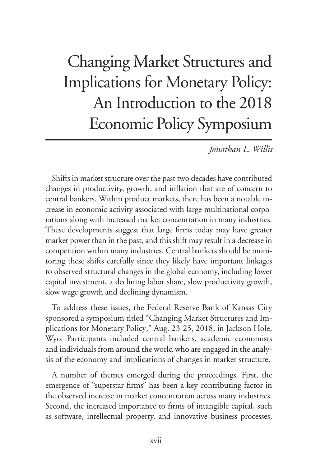# Changing Market Structures and Implications for Monetary Policy: An Introduction to the 2018 Economic Policy Symposium

*Jonathan L. Willis*

Shifts in market structure over the past two decades have contributed changes in productivity, growth, and inflation that are of concern to central bankers. Within product markets, there has been a notable increase in economic activity associated with large multinational corporations along with increased market concentration in many industries. These developments suggest that large firms today may have greater market power than in the past, and this shift may result in a decrease in competition within many industries. Central bankers should be monitoring these shifts carefully since they likely have important linkages to observed structural changes in the global economy, including lower capital investment, a declining labor share, slow productivity growth, slow wage growth and declining dynamism.

To address these issues, the Federal Reserve Bank of Kansas City sponsored a symposium titled "Changing Market Structures and Implications for Monetary Policy*,*" Aug. 23-25, 2018, in Jackson Hole, Wyo. Participants included central bankers, academic economists and individuals from around the world who are engaged in the analysis of the economy and implications of changes in market structure.

A number of themes emerged during the proceedings. First, the emergence of "superstar firms" has been a key contributing factor in the observed increase in market concentration across many industries. Second, the increased importance to firms of intangible capital, such as software, intellectual property, and innovative business processes,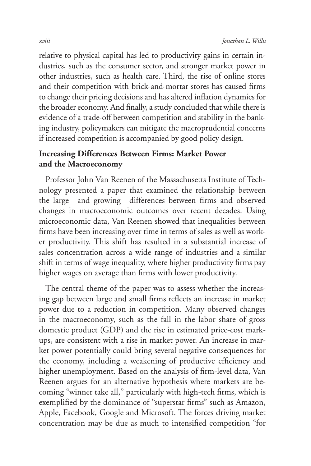relative to physical capital has led to productivity gains in certain industries, such as the consumer sector, and stronger market power in other industries, such as health care. Third, the rise of online stores and their competition with brick-and-mortar stores has caused firms to change their pricing decisions and has altered inflation dynamics for the broader economy. And finally, a study concluded that while there is evidence of a trade-off between competition and stability in the banking industry, policymakers can mitigate the macroprudential concerns if increased competition is accompanied by good policy design.

# **Increasing Differences Between Firms: Market Power and the Macroeconomy**

Professor John Van Reenen of the Massachusetts Institute of Technology presented a paper that examined the relationship between the large—and growing—differences between firms and observed changes in macroeconomic outcomes over recent decades. Using microeconomic data, Van Reenen showed that inequalities between firms have been increasing over time in terms of sales as well as worker productivity. This shift has resulted in a substantial increase of sales concentration across a wide range of industries and a similar shift in terms of wage inequality, where higher productivity firms pay higher wages on average than firms with lower productivity.

The central theme of the paper was to assess whether the increasing gap between large and small firms reflects an increase in market power due to a reduction in competition. Many observed changes in the macroeconomy, such as the fall in the labor share of gross domestic product (GDP) and the rise in estimated price-cost markups, are consistent with a rise in market power. An increase in market power potentially could bring several negative consequences for the economy, including a weakening of productive efficiency and higher unemployment. Based on the analysis of firm-level data, Van Reenen argues for an alternative hypothesis where markets are becoming "winner take all," particularly with high-tech firms, which is exemplified by the dominance of "superstar firms" such as Amazon, Apple, Facebook, Google and Microsoft. The forces driving market concentration may be due as much to intensified competition "for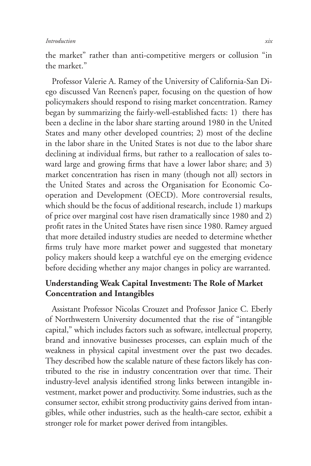the market" rather than anti-competitive mergers or collusion "in the market."

Professor Valerie A. Ramey of the University of California-San Diego discussed Van Reenen's paper, focusing on the question of how policymakers should respond to rising market concentration. Ramey began by summarizing the fairly-well-established facts: 1) there has been a decline in the labor share starting around 1980 in the United States and many other developed countries; 2) most of the decline in the labor share in the United States is not due to the labor share declining at individual firms, but rather to a reallocation of sales toward large and growing firms that have a lower labor share; and 3) market concentration has risen in many (though not all) sectors in the United States and across the Organisation for Economic Cooperation and Development (OECD). More controversial results, which should be the focus of additional research, include 1) markups of price over marginal cost have risen dramatically since 1980 and 2) profit rates in the United States have risen since 1980. Ramey argued that more detailed industry studies are needed to determine whether firms truly have more market power and suggested that monetary policy makers should keep a watchful eye on the emerging evidence before deciding whether any major changes in policy are warranted.

# **Understanding Weak Capital Investment: The Role of Market Concentration and Intangibles**

Assistant Professor Nicolas Crouzet and Professor Janice C. Eberly of Northwestern University documented that the rise of "intangible capital," which includes factors such as software, intellectual property, brand and innovative businesses processes, can explain much of the weakness in physical capital investment over the past two decades. They described how the scalable nature of these factors likely has contributed to the rise in industry concentration over that time. Their industry-level analysis identified strong links between intangible investment, market power and productivity. Some industries, such as the consumer sector, exhibit strong productivity gains derived from intangibles, while other industries, such as the health-care sector, exhibit a stronger role for market power derived from intangibles.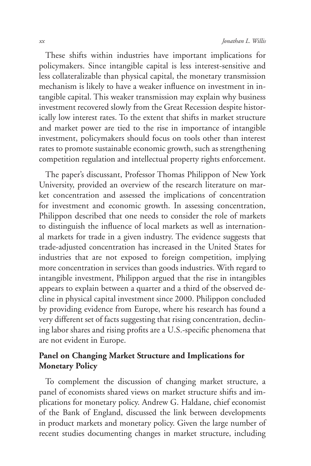These shifts within industries have important implications for policymakers. Since intangible capital is less interest-sensitive and less collateralizable than physical capital, the monetary transmission mechanism is likely to have a weaker influence on investment in intangible capital. This weaker transmission may explain why business investment recovered slowly from the Great Recession despite historically low interest rates. To the extent that shifts in market structure and market power are tied to the rise in importance of intangible investment, policymakers should focus on tools other than interest rates to promote sustainable economic growth, such as strengthening competition regulation and intellectual property rights enforcement.

The paper's discussant, Professor Thomas Philippon of New York University, provided an overview of the research literature on market concentration and assessed the implications of concentration for investment and economic growth. In assessing concentration, Philippon described that one needs to consider the role of markets to distinguish the influence of local markets as well as international markets for trade in a given industry. The evidence suggests that trade-adjusted concentration has increased in the United States for industries that are not exposed to foreign competition, implying more concentration in services than goods industries. With regard to intangible investment, Philippon argued that the rise in intangibles appears to explain between a quarter and a third of the observed decline in physical capital investment since 2000. Philippon concluded by providing evidence from Europe, where his research has found a very different set of facts suggesting that rising concentration, declining labor shares and rising profits are a U.S.-specific phenomena that are not evident in Europe.

# **Panel on Changing Market Structure and Implications for Monetary Policy**

To complement the discussion of changing market structure, a panel of economists shared views on market structure shifts and implications for monetary policy. Andrew G. Haldane, chief economist of the Bank of England, discussed the link between developments in product markets and monetary policy. Given the large number of recent studies documenting changes in market structure, including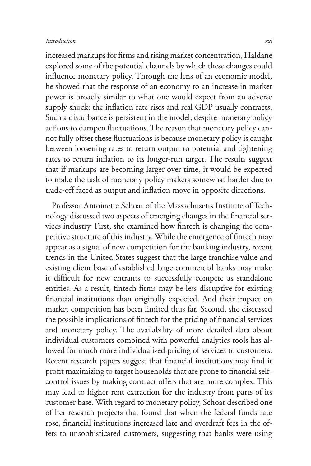#### *Introduction xxi*

increased markups for firms and rising market concentration, Haldane explored some of the potential channels by which these changes could influence monetary policy. Through the lens of an economic model, he showed that the response of an economy to an increase in market power is broadly similar to what one would expect from an adverse supply shock: the inflation rate rises and real GDP usually contracts. Such a disturbance is persistent in the model, despite monetary policy actions to dampen fluctuations. The reason that monetary policy cannot fully offset these fluctuations is because monetary policy is caught between loosening rates to return output to potential and tightening rates to return inflation to its longer-run target. The results suggest that if markups are becoming larger over time, it would be expected to make the task of monetary policy makers somewhat harder due to trade-off faced as output and inflation move in opposite directions.

Professor Antoinette Schoar of the Massachusetts Institute of Technology discussed two aspects of emerging changes in the financial services industry. First, she examined how fintech is changing the competitive structure of this industry. While the emergence of fintech may appear as a signal of new competition for the banking industry, recent trends in the United States suggest that the large franchise value and existing client base of established large commercial banks may make it difficult for new entrants to successfully compete as standalone entities. As a result, fintech firms may be less disruptive for existing financial institutions than originally expected. And their impact on market competition has been limited thus far. Second, she discussed the possible implications of fintech for the pricing of financial services and monetary policy. The availability of more detailed data about individual customers combined with powerful analytics tools has allowed for much more individualized pricing of services to customers. Recent research papers suggest that financial institutions may find it profit maximizing to target households that are prone to financial selfcontrol issues by making contract offers that are more complex. This may lead to higher rent extraction for the industry from parts of its customer base. With regard to monetary policy, Schoar described one of her research projects that found that when the federal funds rate rose, financial institutions increased late and overdraft fees in the offers to unsophisticated customers, suggesting that banks were using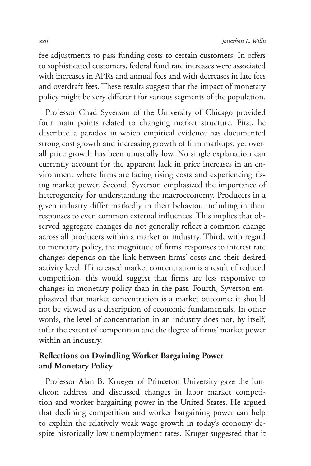fee adjustments to pass funding costs to certain customers. In offers to sophisticated customers, federal fund rate increases were associated with increases in APRs and annual fees and with decreases in late fees and overdraft fees. These results suggest that the impact of monetary policy might be very different for various segments of the population.

Professor Chad Syverson of the University of Chicago provided four main points related to changing market structure. First, he described a paradox in which empirical evidence has documented strong cost growth and increasing growth of firm markups, yet overall price growth has been unusually low. No single explanation can currently account for the apparent lack in price increases in an environment where firms are facing rising costs and experiencing rising market power. Second, Syverson emphasized the importance of heterogeneity for understanding the macroeconomy. Producers in a given industry differ markedly in their behavior, including in their responses to even common external influences. This implies that observed aggregate changes do not generally reflect a common change across all producers within a market or industry. Third, with regard to monetary policy, the magnitude of firms' responses to interest rate changes depends on the link between firms' costs and their desired activity level. If increased market concentration is a result of reduced competition, this would suggest that firms are less responsive to changes in monetary policy than in the past. Fourth, Syverson emphasized that market concentration is a market outcome; it should not be viewed as a description of economic fundamentals. In other words, the level of concentration in an industry does not, by itself, infer the extent of competition and the degree of firms' market power within an industry.

# **Reflections on Dwindling Worker Bargaining Power and Monetary Policy**

Professor Alan B. Krueger of Princeton University gave the luncheon address and discussed changes in labor market competition and worker bargaining power in the United States. He argued that declining competition and worker bargaining power can help to explain the relatively weak wage growth in today's economy despite historically low unemployment rates. Kruger suggested that it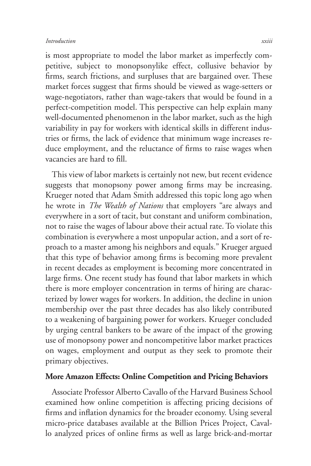is most appropriate to model the labor market as imperfectly competitive, subject to monopsonylike effect, collusive behavior by firms, search frictions, and surpluses that are bargained over. These market forces suggest that firms should be viewed as wage-setters or wage-negotiators, rather than wage-takers that would be found in a perfect-competition model. This perspective can help explain many well-documented phenomenon in the labor market, such as the high variability in pay for workers with identical skills in different industries or firms, the lack of evidence that minimum wage increases reduce employment, and the reluctance of firms to raise wages when vacancies are hard to fill.

This view of labor markets is certainly not new, but recent evidence suggests that monopsony power among firms may be increasing. Krueger noted that Adam Smith addressed this topic long ago when he wrote in *The Wealth of Nations* that employers "are always and everywhere in a sort of tacit, but constant and uniform combination, not to raise the wages of labour above their actual rate. To violate this combination is everywhere a most unpopular action, and a sort of reproach to a master among his neighbors and equals." Krueger argued that this type of behavior among firms is becoming more prevalent in recent decades as employment is becoming more concentrated in large firms. One recent study has found that labor markets in which there is more employer concentration in terms of hiring are characterized by lower wages for workers. In addition, the decline in union membership over the past three decades has also likely contributed to a weakening of bargaining power for workers. Krueger concluded by urging central bankers to be aware of the impact of the growing use of monopsony power and noncompetitive labor market practices on wages, employment and output as they seek to promote their primary objectives.

## **More Amazon Effects: Online Competition and Pricing Behaviors**

Associate Professor Alberto Cavallo of the Harvard Business School examined how online competition is affecting pricing decisions of firms and inflation dynamics for the broader economy. Using several micro-price databases available at the Billion Prices Project, Cavallo analyzed prices of online firms as well as large brick-and-mortar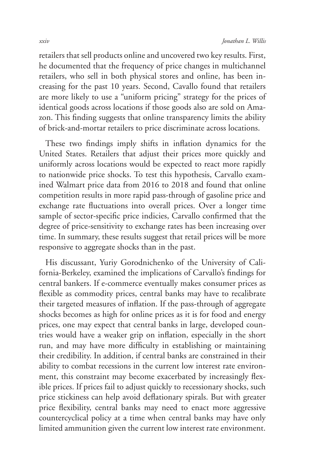retailers that sell products online and uncovered two key results. First, he documented that the frequency of price changes in multichannel retailers, who sell in both physical stores and online, has been increasing for the past 10 years. Second, Cavallo found that retailers are more likely to use a "uniform pricing" strategy for the prices of identical goods across locations if those goods also are sold on Amazon. This finding suggests that online transparency limits the ability of brick-and-mortar retailers to price discriminate across locations.

These two findings imply shifts in inflation dynamics for the United States. Retailers that adjust their prices more quickly and uniformly across locations would be expected to react more rapidly to nationwide price shocks. To test this hypothesis, Carvallo examined Walmart price data from 2016 to 2018 and found that online competition results in more rapid pass-through of gasoline price and exchange rate fluctuations into overall prices. Over a longer time sample of sector-specific price indicies, Carvallo confirmed that the degree of price-sensitivity to exchange rates has been increasing over time. In summary, these results suggest that retail prices will be more responsive to aggregate shocks than in the past.

His discussant, Yuriy Gorodnichenko of the University of California-Berkeley, examined the implications of Carvallo's findings for central bankers. If e-commerce eventually makes consumer prices as flexible as commodity prices, central banks may have to recalibrate their targeted measures of inflation. If the pass-through of aggregate shocks becomes as high for online prices as it is for food and energy prices, one may expect that central banks in large, developed countries would have a weaker grip on inflation, especially in the short run, and may have more difficulty in establishing or maintaining their credibility. In addition, if central banks are constrained in their ability to combat recessions in the current low interest rate environment, this constraint may become exacerbated by increasingly flexible prices. If prices fail to adjust quickly to recessionary shocks, such price stickiness can help avoid deflationary spirals. But with greater price flexibility, central banks may need to enact more aggressive countercyclical policy at a time when central banks may have only limited ammunition given the current low interest rate environment.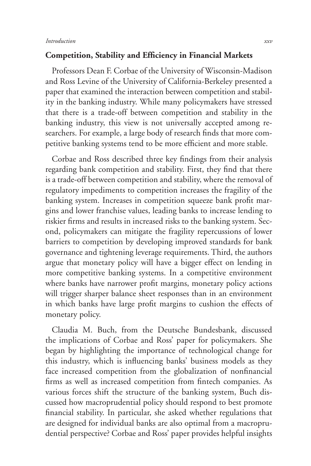### **Competition, Stability and Efficiency in Financial Markets**

Professors Dean F. Corbae of the University of Wisconsin-Madison and Ross Levine of the University of California-Berkeley presented a paper that examined the interaction between competition and stability in the banking industry. While many policymakers have stressed that there is a trade-off between competition and stability in the banking industry, this view is not universally accepted among researchers. For example, a large body of research finds that more competitive banking systems tend to be more efficient and more stable.

Corbae and Ross described three key findings from their analysis regarding bank competition and stability. First, they find that there is a trade-off between competition and stability, where the removal of regulatory impediments to competition increases the fragility of the banking system. Increases in competition squeeze bank profit margins and lower franchise values, leading banks to increase lending to riskier firms and results in increased risks to the banking system. Second, policymakers can mitigate the fragility repercussions of lower barriers to competition by developing improved standards for bank governance and tightening leverage requirements. Third, the authors argue that monetary policy will have a bigger effect on lending in more competitive banking systems. In a competitive environment where banks have narrower profit margins, monetary policy actions will trigger sharper balance sheet responses than in an environment in which banks have large profit margins to cushion the effects of monetary policy.

Claudia M. Buch, from the Deutsche Bundesbank, discussed the implications of Corbae and Ross' paper for policymakers. She began by highlighting the importance of technological change for this industry, which is influencing banks' business models as they face increased competition from the globalization of nonfinancial firms as well as increased competition from fintech companies. As various forces shift the structure of the banking system, Buch discussed how macroprudential policy should respond to best promote financial stability. In particular, she asked whether regulations that are designed for individual banks are also optimal from a macroprudential perspective? Corbae and Ross' paper provides helpful insights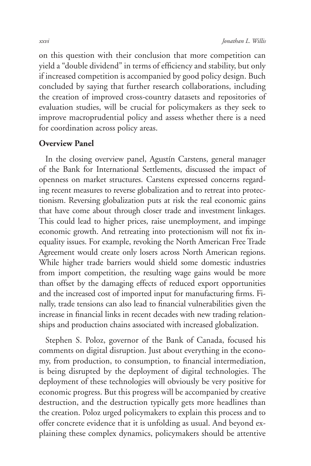on this question with their conclusion that more competition can yield a "double dividend" in terms of efficiency and stability, but only if increased competition is accompanied by good policy design. Buch concluded by saying that further research collaborations, including the creation of improved cross-country datasets and repositories of evaluation studies, will be crucial for policymakers as they seek to improve macroprudential policy and assess whether there is a need for coordination across policy areas.

## **Overview Panel**

In the closing overview panel, Agustín Carstens, general manager of the Bank for International Settlements, discussed the impact of openness on market structures. Carstens expressed concerns regarding recent measures to reverse globalization and to retreat into protectionism. Reversing globalization puts at risk the real economic gains that have come about through closer trade and investment linkages. This could lead to higher prices, raise unemployment, and impinge economic growth. And retreating into protectionism will not fix inequality issues. For example, revoking the North American Free Trade Agreement would create only losers across North American regions. While higher trade barriers would shield some domestic industries from import competition, the resulting wage gains would be more than offset by the damaging effects of reduced export opportunities and the increased cost of imported input for manufacturing firms. Finally, trade tensions can also lead to financial vulnerabilities given the increase in financial links in recent decades with new trading relationships and production chains associated with increased globalization.

Stephen S. Poloz, governor of the Bank of Canada, focused his comments on digital disruption. Just about everything in the economy, from production, to consumption, to financial intermediation, is being disrupted by the deployment of digital technologies. The deployment of these technologies will obviously be very positive for economic progress. But this progress will be accompanied by creative destruction, and the destruction typically gets more headlines than the creation. Poloz urged policymakers to explain this process and to offer concrete evidence that it is unfolding as usual. And beyond explaining these complex dynamics, policymakers should be attentive